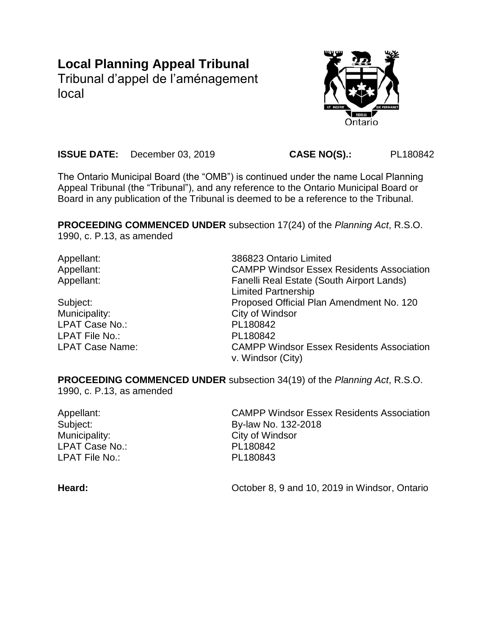# **Local Planning Appeal Tribunal**

Tribunal d'appel de l'aménagement local



**ISSUE DATE:** December 03, 2019 **CASE NO(S).:** PL180842

The Ontario Municipal Board (the "OMB") is continued under the name Local Planning Appeal Tribunal (the "Tribunal"), and any reference to the Ontario Municipal Board or Board in any publication of the Tribunal is deemed to be a reference to the Tribunal.

**PROCEEDING COMMENCED UNDER** subsection 17(24) of the *Planning Act*, R.S.O. 1990, c. P.13, as amended

Municipality: City of Windsor LPAT Case No.: PL180842 LPAT File No.: PL180842

Appellant: 386823 Ontario Limited Appellant: CAMPP Windsor Essex Residents Association Appellant: Fanelli Real Estate (South Airport Lands) Limited Partnership Subject: Proposed Official Plan Amendment No. 120 LPAT Case Name: CAMPP Windsor Essex Residents Association v. Windsor (City)

**PROCEEDING COMMENCED UNDER** subsection 34(19) of the *Planning Act*, R.S.O. 1990, c. P.13, as amended

Municipality: City of Windsor LPAT Case No.: PL180842 LPAT File No.: PL180843

Appellant: CAMPP Windsor Essex Residents Association Subject: By-law No. 132-2018

Heard: **Heard:** College 2, 9 and 10, 2019 in Windsor, Ontario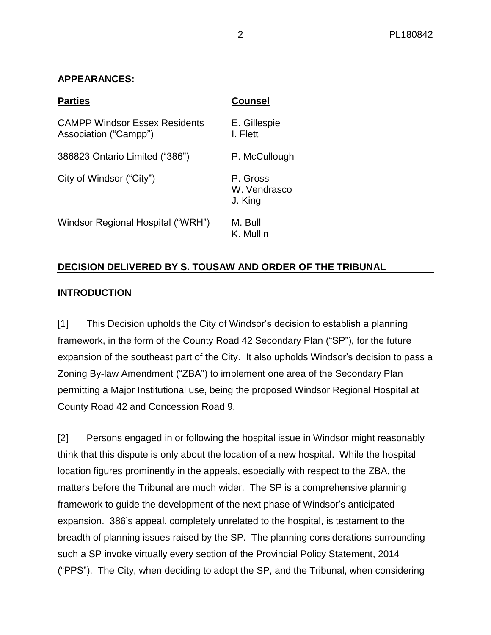# **APPEARANCES:**

| <b>Parties</b>                                                | <b>Counsel</b>                      |
|---------------------------------------------------------------|-------------------------------------|
| <b>CAMPP Windsor Essex Residents</b><br>Association ("Campp") | E. Gillespie<br>I. Flett            |
| 386823 Ontario Limited ("386")                                | P. McCullough                       |
| City of Windsor ("City")                                      | P. Gross<br>W. Vendrasco<br>J. King |
| Windsor Regional Hospital ("WRH")                             | M. Bull<br>K. Mullin                |

# **DECISION DELIVERED BY S. TOUSAW AND ORDER OF THE TRIBUNAL**

# **INTRODUCTION**

[1] This Decision upholds the City of Windsor's decision to establish a planning framework, in the form of the County Road 42 Secondary Plan ("SP"), for the future expansion of the southeast part of the City. It also upholds Windsor's decision to pass a Zoning By-law Amendment ("ZBA") to implement one area of the Secondary Plan permitting a Major Institutional use, being the proposed Windsor Regional Hospital at County Road 42 and Concession Road 9.

[2] Persons engaged in or following the hospital issue in Windsor might reasonably think that this dispute is only about the location of a new hospital. While the hospital location figures prominently in the appeals, especially with respect to the ZBA, the matters before the Tribunal are much wider. The SP is a comprehensive planning framework to guide the development of the next phase of Windsor's anticipated expansion. 386's appeal, completely unrelated to the hospital, is testament to the breadth of planning issues raised by the SP. The planning considerations surrounding such a SP invoke virtually every section of the Provincial Policy Statement, 2014 ("PPS"). The City, when deciding to adopt the SP, and the Tribunal, when considering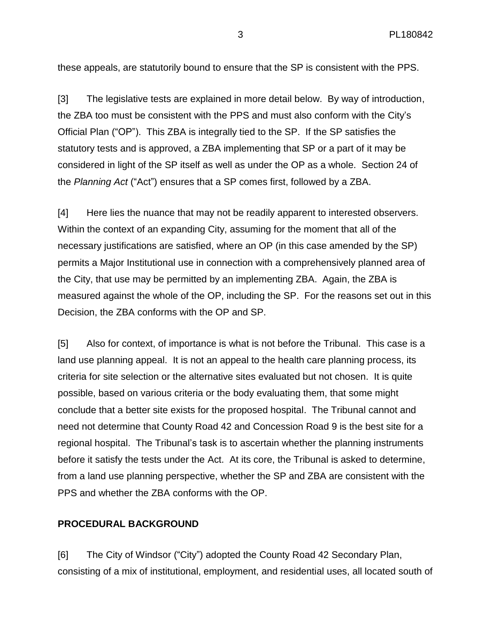these appeals, are statutorily bound to ensure that the SP is consistent with the PPS.

[3] The legislative tests are explained in more detail below. By way of introduction, the ZBA too must be consistent with the PPS and must also conform with the City's Official Plan ("OP"). This ZBA is integrally tied to the SP. If the SP satisfies the statutory tests and is approved, a ZBA implementing that SP or a part of it may be considered in light of the SP itself as well as under the OP as a whole. Section 24 of the *Planning Act* ("Act") ensures that a SP comes first, followed by a ZBA.

[4] Here lies the nuance that may not be readily apparent to interested observers. Within the context of an expanding City, assuming for the moment that all of the necessary justifications are satisfied, where an OP (in this case amended by the SP) permits a Major Institutional use in connection with a comprehensively planned area of the City, that use may be permitted by an implementing ZBA. Again, the ZBA is measured against the whole of the OP, including the SP. For the reasons set out in this Decision, the ZBA conforms with the OP and SP.

[5] Also for context, of importance is what is not before the Tribunal. This case is a land use planning appeal. It is not an appeal to the health care planning process, its criteria for site selection or the alternative sites evaluated but not chosen. It is quite possible, based on various criteria or the body evaluating them, that some might conclude that a better site exists for the proposed hospital. The Tribunal cannot and need not determine that County Road 42 and Concession Road 9 is the best site for a regional hospital. The Tribunal's task is to ascertain whether the planning instruments before it satisfy the tests under the Act. At its core, the Tribunal is asked to determine, from a land use planning perspective, whether the SP and ZBA are consistent with the PPS and whether the ZBA conforms with the OP.

## **PROCEDURAL BACKGROUND**

[6] The City of Windsor ("City") adopted the County Road 42 Secondary Plan, consisting of a mix of institutional, employment, and residential uses, all located south of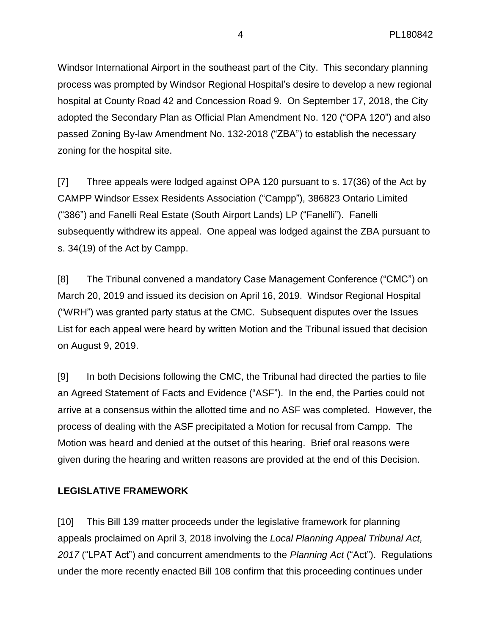Windsor International Airport in the southeast part of the City. This secondary planning process was prompted by Windsor Regional Hospital's desire to develop a new regional hospital at County Road 42 and Concession Road 9. On September 17, 2018, the City adopted the Secondary Plan as Official Plan Amendment No. 120 ("OPA 120") and also passed Zoning By-law Amendment No. 132-2018 ("ZBA") to establish the necessary zoning for the hospital site.

[7] Three appeals were lodged against OPA 120 pursuant to s. 17(36) of the Act by CAMPP Windsor Essex Residents Association ("Campp"), 386823 Ontario Limited ("386") and Fanelli Real Estate (South Airport Lands) LP ("Fanelli"). Fanelli subsequently withdrew its appeal. One appeal was lodged against the ZBA pursuant to s. 34(19) of the Act by Campp.

[8] The Tribunal convened a mandatory Case Management Conference ("CMC") on March 20, 2019 and issued its decision on April 16, 2019. Windsor Regional Hospital ("WRH") was granted party status at the CMC. Subsequent disputes over the Issues List for each appeal were heard by written Motion and the Tribunal issued that decision on August 9, 2019.

[9] In both Decisions following the CMC, the Tribunal had directed the parties to file an Agreed Statement of Facts and Evidence ("ASF"). In the end, the Parties could not arrive at a consensus within the allotted time and no ASF was completed. However, the process of dealing with the ASF precipitated a Motion for recusal from Campp. The Motion was heard and denied at the outset of this hearing. Brief oral reasons were given during the hearing and written reasons are provided at the end of this Decision.

# **LEGISLATIVE FRAMEWORK**

[10] This Bill 139 matter proceeds under the legislative framework for planning appeals proclaimed on April 3, 2018 involving the *Local Planning Appeal Tribunal Act, 2017* ("LPAT Act") and concurrent amendments to the *Planning Act* ("Act"). Regulations under the more recently enacted Bill 108 confirm that this proceeding continues under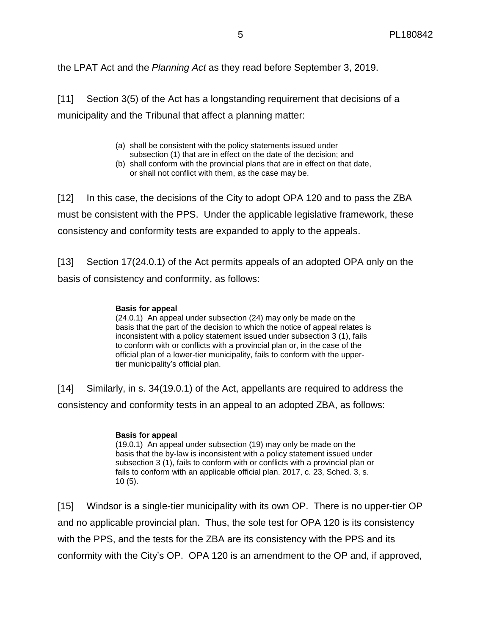the LPAT Act and the *Planning Act* as they read before September 3, 2019.

[11] Section 3(5) of the Act has a longstanding requirement that decisions of a municipality and the Tribunal that affect a planning matter:

- (a) shall be consistent with the policy statements issued under
- subsection (1) that are in effect on the date of the decision; and (b) shall conform with the provincial plans that are in effect on that date, or shall not conflict with them, as the case may be.

[12] In this case, the decisions of the City to adopt OPA 120 and to pass the ZBA must be consistent with the PPS. Under the applicable legislative framework, these consistency and conformity tests are expanded to apply to the appeals.

[13] Section 17(24.0.1) of the Act permits appeals of an adopted OPA only on the basis of consistency and conformity, as follows:

#### **Basis for appeal**

(24.0.1) An appeal under subsection (24) may only be made on the basis that the part of the decision to which the notice of appeal relates is inconsistent with a policy statement issued under subsection 3 (1), fails to conform with or conflicts with a provincial plan or, in the case of the official plan of a lower-tier municipality, fails to conform with the uppertier municipality's official plan.

[14] Similarly, in s. 34(19.0.1) of the Act, appellants are required to address the consistency and conformity tests in an appeal to an adopted ZBA, as follows:

#### **Basis for appeal**

(19.0.1) An appeal under subsection (19) may only be made on the basis that the by-law is inconsistent with a policy statement issued under subsection 3 (1), fails to conform with or conflicts with a provincial plan or fails to conform with an applicable official plan. 2017, c. 23, Sched. 3, s. 10 (5).

[15] Windsor is a single-tier municipality with its own OP. There is no upper-tier OP and no applicable provincial plan. Thus, the sole test for OPA 120 is its consistency with the PPS, and the tests for the ZBA are its consistency with the PPS and its conformity with the City's OP. OPA 120 is an amendment to the OP and, if approved,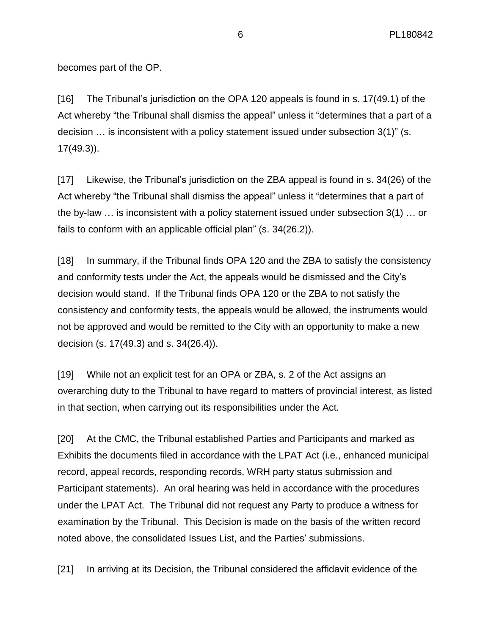becomes part of the OP.

[16] The Tribunal's jurisdiction on the OPA 120 appeals is found in s. 17(49.1) of the Act whereby "the Tribunal shall dismiss the appeal" unless it "determines that a part of a decision … is inconsistent with a policy statement issued under subsection 3(1)" (s. 17(49.3)).

[17] Likewise, the Tribunal's jurisdiction on the ZBA appeal is found in s. 34(26) of the Act whereby "the Tribunal shall dismiss the appeal" unless it "determines that a part of the by-law … is inconsistent with a policy statement issued under subsection 3(1) … or fails to conform with an applicable official plan" (s. 34(26.2)).

[18] In summary, if the Tribunal finds OPA 120 and the ZBA to satisfy the consistency and conformity tests under the Act, the appeals would be dismissed and the City's decision would stand. If the Tribunal finds OPA 120 or the ZBA to not satisfy the consistency and conformity tests, the appeals would be allowed, the instruments would not be approved and would be remitted to the City with an opportunity to make a new decision (s. 17(49.3) and s. 34(26.4)).

[19] While not an explicit test for an OPA or ZBA, s. 2 of the Act assigns an overarching duty to the Tribunal to have regard to matters of provincial interest, as listed in that section, when carrying out its responsibilities under the Act.

[20] At the CMC, the Tribunal established Parties and Participants and marked as Exhibits the documents filed in accordance with the LPAT Act (i.e., enhanced municipal record, appeal records, responding records, WRH party status submission and Participant statements). An oral hearing was held in accordance with the procedures under the LPAT Act. The Tribunal did not request any Party to produce a witness for examination by the Tribunal. This Decision is made on the basis of the written record noted above, the consolidated Issues List, and the Parties' submissions.

[21] In arriving at its Decision, the Tribunal considered the affidavit evidence of the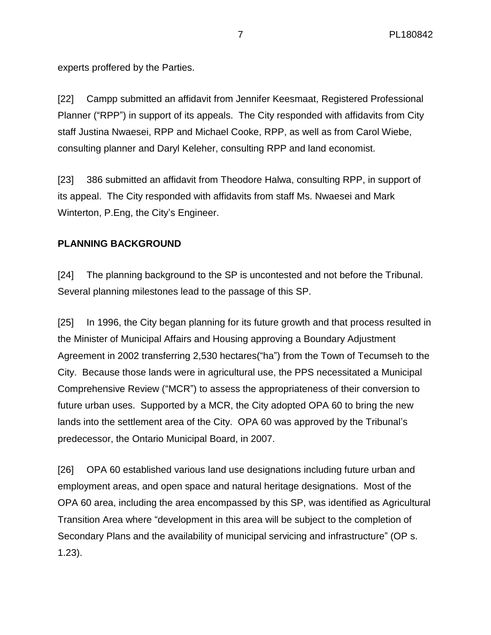experts proffered by the Parties.

[22] Campp submitted an affidavit from Jennifer Keesmaat, Registered Professional Planner ("RPP") in support of its appeals. The City responded with affidavits from City staff Justina Nwaesei, RPP and Michael Cooke, RPP, as well as from Carol Wiebe, consulting planner and Daryl Keleher, consulting RPP and land economist.

[23] 386 submitted an affidavit from Theodore Halwa, consulting RPP, in support of its appeal. The City responded with affidavits from staff Ms. Nwaesei and Mark Winterton, P.Eng, the City's Engineer.

# **PLANNING BACKGROUND**

[24] The planning background to the SP is uncontested and not before the Tribunal. Several planning milestones lead to the passage of this SP.

[25] In 1996, the City began planning for its future growth and that process resulted in the Minister of Municipal Affairs and Housing approving a Boundary Adjustment Agreement in 2002 transferring 2,530 hectares("ha") from the Town of Tecumseh to the City. Because those lands were in agricultural use, the PPS necessitated a Municipal Comprehensive Review ("MCR") to assess the appropriateness of their conversion to future urban uses. Supported by a MCR, the City adopted OPA 60 to bring the new lands into the settlement area of the City. OPA 60 was approved by the Tribunal's predecessor, the Ontario Municipal Board, in 2007.

[26] OPA 60 established various land use designations including future urban and employment areas, and open space and natural heritage designations. Most of the OPA 60 area, including the area encompassed by this SP, was identified as Agricultural Transition Area where "development in this area will be subject to the completion of Secondary Plans and the availability of municipal servicing and infrastructure" (OP s. 1.23).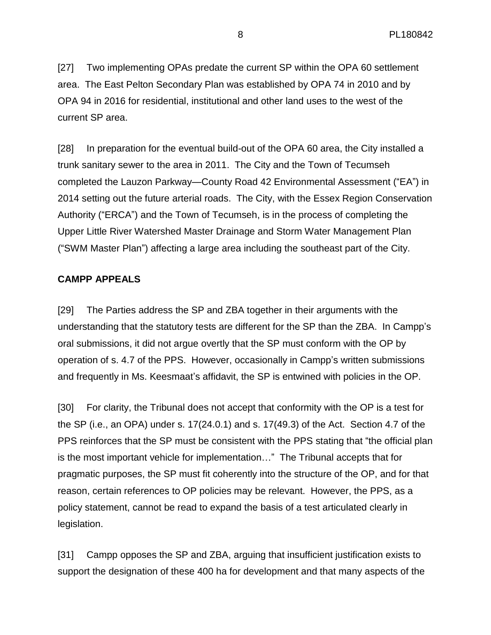[27] Two implementing OPAs predate the current SP within the OPA 60 settlement area. The East Pelton Secondary Plan was established by OPA 74 in 2010 and by OPA 94 in 2016 for residential, institutional and other land uses to the west of the current SP area.

[28] In preparation for the eventual build-out of the OPA 60 area, the City installed a trunk sanitary sewer to the area in 2011. The City and the Town of Tecumseh completed the Lauzon Parkway—County Road 42 Environmental Assessment ("EA") in 2014 setting out the future arterial roads. The City, with the Essex Region Conservation Authority ("ERCA") and the Town of Tecumseh, is in the process of completing the Upper Little River Watershed Master Drainage and Storm Water Management Plan ("SWM Master Plan") affecting a large area including the southeast part of the City.

## **CAMPP APPEALS**

[29] The Parties address the SP and ZBA together in their arguments with the understanding that the statutory tests are different for the SP than the ZBA. In Campp's oral submissions, it did not argue overtly that the SP must conform with the OP by operation of s. 4.7 of the PPS. However, occasionally in Campp's written submissions and frequently in Ms. Keesmaat's affidavit, the SP is entwined with policies in the OP.

[30] For clarity, the Tribunal does not accept that conformity with the OP is a test for the SP (i.e., an OPA) under s. 17(24.0.1) and s. 17(49.3) of the Act. Section 4.7 of the PPS reinforces that the SP must be consistent with the PPS stating that "the official plan is the most important vehicle for implementation…" The Tribunal accepts that for pragmatic purposes, the SP must fit coherently into the structure of the OP, and for that reason, certain references to OP policies may be relevant. However, the PPS, as a policy statement, cannot be read to expand the basis of a test articulated clearly in legislation.

[31] Campp opposes the SP and ZBA, arguing that insufficient justification exists to support the designation of these 400 ha for development and that many aspects of the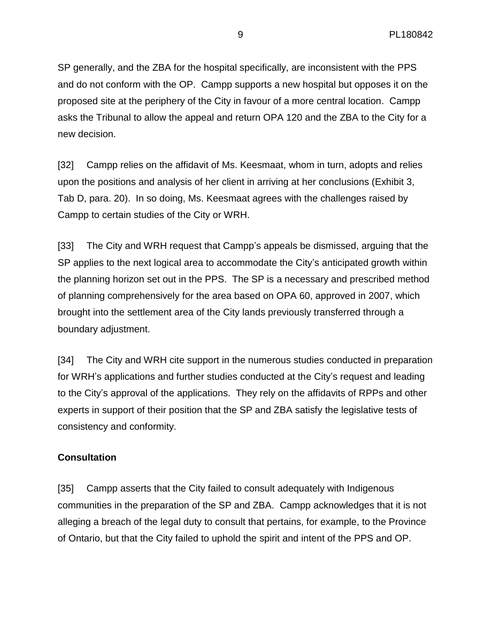SP generally, and the ZBA for the hospital specifically, are inconsistent with the PPS and do not conform with the OP. Campp supports a new hospital but opposes it on the proposed site at the periphery of the City in favour of a more central location. Campp asks the Tribunal to allow the appeal and return OPA 120 and the ZBA to the City for a new decision.

[32] Campp relies on the affidavit of Ms. Keesmaat, whom in turn, adopts and relies upon the positions and analysis of her client in arriving at her conclusions (Exhibit 3, Tab D, para. 20). In so doing, Ms. Keesmaat agrees with the challenges raised by Campp to certain studies of the City or WRH.

[33] The City and WRH request that Campp's appeals be dismissed, arguing that the SP applies to the next logical area to accommodate the City's anticipated growth within the planning horizon set out in the PPS. The SP is a necessary and prescribed method of planning comprehensively for the area based on OPA 60, approved in 2007, which brought into the settlement area of the City lands previously transferred through a boundary adjustment.

[34] The City and WRH cite support in the numerous studies conducted in preparation for WRH's applications and further studies conducted at the City's request and leading to the City's approval of the applications. They rely on the affidavits of RPPs and other experts in support of their position that the SP and ZBA satisfy the legislative tests of consistency and conformity.

# **Consultation**

[35] Campp asserts that the City failed to consult adequately with Indigenous communities in the preparation of the SP and ZBA. Campp acknowledges that it is not alleging a breach of the legal duty to consult that pertains, for example, to the Province of Ontario, but that the City failed to uphold the spirit and intent of the PPS and OP.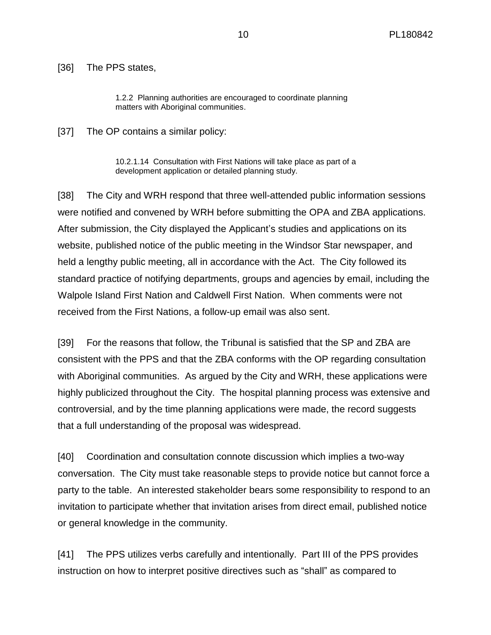[36] The PPS states,

1.2.2 Planning authorities are encouraged to coordinate planning matters with Aboriginal communities.

[37] The OP contains a similar policy:

10.2.1.14 Consultation with First Nations will take place as part of a development application or detailed planning study.

[38] The City and WRH respond that three well-attended public information sessions were notified and convened by WRH before submitting the OPA and ZBA applications. After submission, the City displayed the Applicant's studies and applications on its website, published notice of the public meeting in the Windsor Star newspaper, and held a lengthy public meeting, all in accordance with the Act. The City followed its standard practice of notifying departments, groups and agencies by email, including the Walpole Island First Nation and Caldwell First Nation. When comments were not received from the First Nations, a follow-up email was also sent.

[39] For the reasons that follow, the Tribunal is satisfied that the SP and ZBA are consistent with the PPS and that the ZBA conforms with the OP regarding consultation with Aboriginal communities. As argued by the City and WRH, these applications were highly publicized throughout the City. The hospital planning process was extensive and controversial, and by the time planning applications were made, the record suggests that a full understanding of the proposal was widespread.

[40] Coordination and consultation connote discussion which implies a two-way conversation. The City must take reasonable steps to provide notice but cannot force a party to the table. An interested stakeholder bears some responsibility to respond to an invitation to participate whether that invitation arises from direct email, published notice or general knowledge in the community.

[41] The PPS utilizes verbs carefully and intentionally. Part III of the PPS provides instruction on how to interpret positive directives such as "shall" as compared to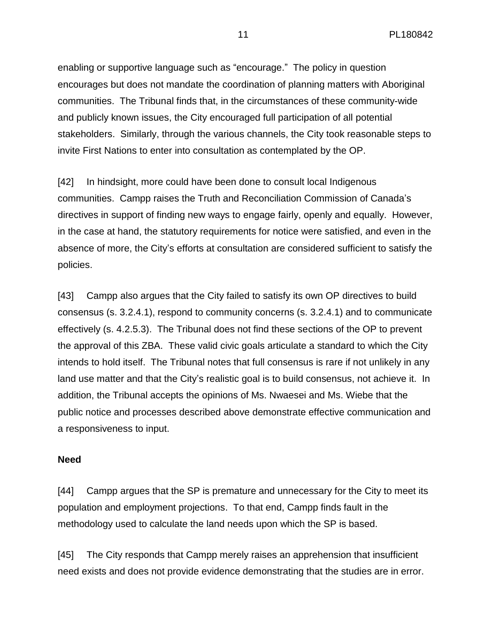enabling or supportive language such as "encourage." The policy in question encourages but does not mandate the coordination of planning matters with Aboriginal communities. The Tribunal finds that, in the circumstances of these community-wide and publicly known issues, the City encouraged full participation of all potential stakeholders. Similarly, through the various channels, the City took reasonable steps to invite First Nations to enter into consultation as contemplated by the OP.

[42] In hindsight, more could have been done to consult local Indigenous communities. Campp raises the Truth and Reconciliation Commission of Canada's directives in support of finding new ways to engage fairly, openly and equally. However, in the case at hand, the statutory requirements for notice were satisfied, and even in the absence of more, the City's efforts at consultation are considered sufficient to satisfy the policies.

[43] Campp also argues that the City failed to satisfy its own OP directives to build consensus (s. 3.2.4.1), respond to community concerns (s. 3.2.4.1) and to communicate effectively (s. 4.2.5.3). The Tribunal does not find these sections of the OP to prevent the approval of this ZBA. These valid civic goals articulate a standard to which the City intends to hold itself. The Tribunal notes that full consensus is rare if not unlikely in any land use matter and that the City's realistic goal is to build consensus, not achieve it. In addition, the Tribunal accepts the opinions of Ms. Nwaesei and Ms. Wiebe that the public notice and processes described above demonstrate effective communication and a responsiveness to input.

#### **Need**

[44] Campp argues that the SP is premature and unnecessary for the City to meet its population and employment projections. To that end, Campp finds fault in the methodology used to calculate the land needs upon which the SP is based.

[45] The City responds that Campp merely raises an apprehension that insufficient need exists and does not provide evidence demonstrating that the studies are in error.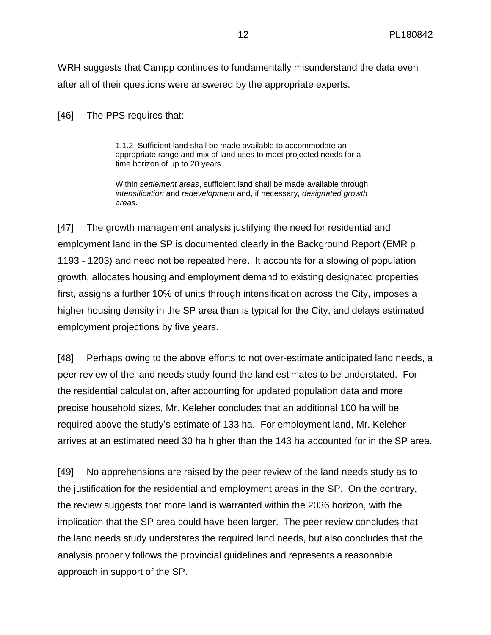WRH suggests that Campp continues to fundamentally misunderstand the data even after all of their questions were answered by the appropriate experts.

[46] The PPS requires that:

1.1.2 Sufficient land shall be made available to accommodate an appropriate range and mix of land uses to meet projected needs for a time horizon of up to 20 years. …

Within *settlement areas*, sufficient land shall be made available through *intensification* and *redevelopment* and, if necessary, *designated growth areas*.

[47] The growth management analysis justifying the need for residential and employment land in the SP is documented clearly in the Background Report (EMR p. 1193 - 1203) and need not be repeated here. It accounts for a slowing of population growth, allocates housing and employment demand to existing designated properties first, assigns a further 10% of units through intensification across the City, imposes a higher housing density in the SP area than is typical for the City, and delays estimated employment projections by five years.

[48] Perhaps owing to the above efforts to not over-estimate anticipated land needs, a peer review of the land needs study found the land estimates to be understated. For the residential calculation, after accounting for updated population data and more precise household sizes, Mr. Keleher concludes that an additional 100 ha will be required above the study's estimate of 133 ha. For employment land, Mr. Keleher arrives at an estimated need 30 ha higher than the 143 ha accounted for in the SP area.

[49] No apprehensions are raised by the peer review of the land needs study as to the justification for the residential and employment areas in the SP. On the contrary, the review suggests that more land is warranted within the 2036 horizon, with the implication that the SP area could have been larger. The peer review concludes that the land needs study understates the required land needs, but also concludes that the analysis properly follows the provincial guidelines and represents a reasonable approach in support of the SP.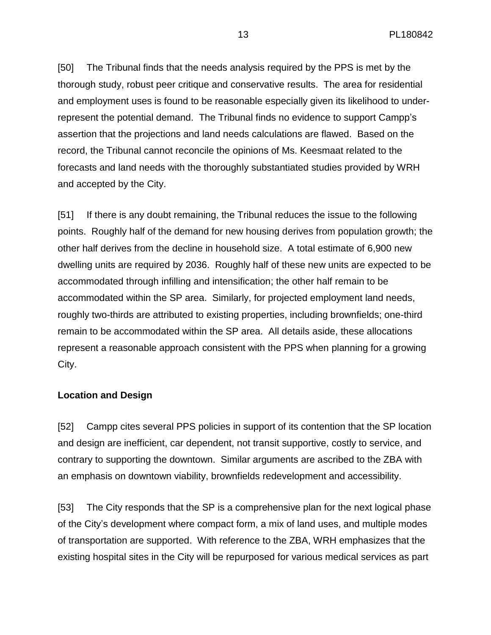[50] The Tribunal finds that the needs analysis required by the PPS is met by the thorough study, robust peer critique and conservative results. The area for residential and employment uses is found to be reasonable especially given its likelihood to underrepresent the potential demand. The Tribunal finds no evidence to support Campp's assertion that the projections and land needs calculations are flawed. Based on the record, the Tribunal cannot reconcile the opinions of Ms. Keesmaat related to the forecasts and land needs with the thoroughly substantiated studies provided by WRH and accepted by the City.

[51] If there is any doubt remaining, the Tribunal reduces the issue to the following points. Roughly half of the demand for new housing derives from population growth; the other half derives from the decline in household size. A total estimate of 6,900 new dwelling units are required by 2036. Roughly half of these new units are expected to be accommodated through infilling and intensification; the other half remain to be accommodated within the SP area. Similarly, for projected employment land needs, roughly two-thirds are attributed to existing properties, including brownfields; one-third remain to be accommodated within the SP area. All details aside, these allocations represent a reasonable approach consistent with the PPS when planning for a growing City.

#### **Location and Design**

[52] Campp cites several PPS policies in support of its contention that the SP location and design are inefficient, car dependent, not transit supportive, costly to service, and contrary to supporting the downtown. Similar arguments are ascribed to the ZBA with an emphasis on downtown viability, brownfields redevelopment and accessibility.

[53] The City responds that the SP is a comprehensive plan for the next logical phase of the City's development where compact form, a mix of land uses, and multiple modes of transportation are supported. With reference to the ZBA, WRH emphasizes that the existing hospital sites in the City will be repurposed for various medical services as part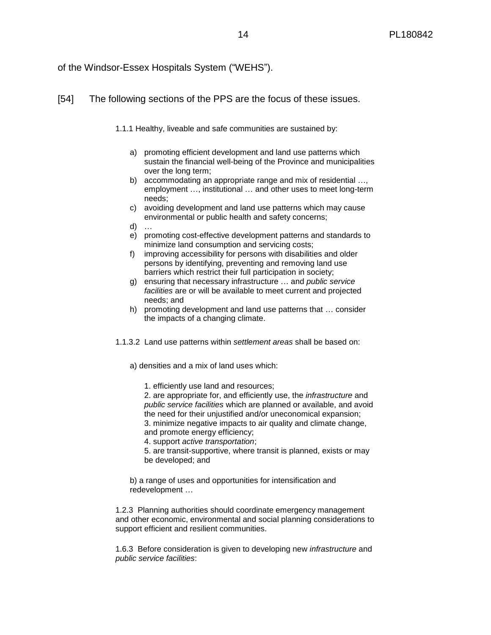#### of the Windsor-Essex Hospitals System ("WEHS").

#### [54] The following sections of the PPS are the focus of these issues.

- 1.1.1 Healthy, liveable and safe communities are sustained by:
	- a) promoting efficient development and land use patterns which sustain the financial well-being of the Province and municipalities over the long term;
	- b) accommodating an appropriate range and mix of residential ..., employment …, institutional … and other uses to meet long-term needs;
	- c) avoiding development and land use patterns which may cause environmental or public health and safety concerns;
	- d) …
	- e) promoting cost-effective development patterns and standards to minimize land consumption and servicing costs;
	- f) improving accessibility for persons with disabilities and older persons by identifying, preventing and removing land use barriers which restrict their full participation in society;
	- g) ensuring that necessary infrastructure … and *public service facilities* are or will be available to meet current and projected needs; and
	- h) promoting development and land use patterns that … consider the impacts of a changing climate.
- 1.1.3.2 Land use patterns within *settlement areas* shall be based on:

a) densities and a mix of land uses which:

1. efficiently use land and resources;

2. are appropriate for, and efficiently use, the *infrastructure* and *public service facilities* which are planned or available, and avoid the need for their unjustified and/or uneconomical expansion; 3. minimize negative impacts to air quality and climate change, and promote energy efficiency;

4. support *active transportation*;

5. are transit-supportive, where transit is planned, exists or may be developed; and

b) a range of uses and opportunities for intensification and redevelopment …

1.2.3 Planning authorities should coordinate emergency management and other economic, environmental and social planning considerations to support efficient and resilient communities.

1.6.3 Before consideration is given to developing new *infrastructure* and *public service facilities*: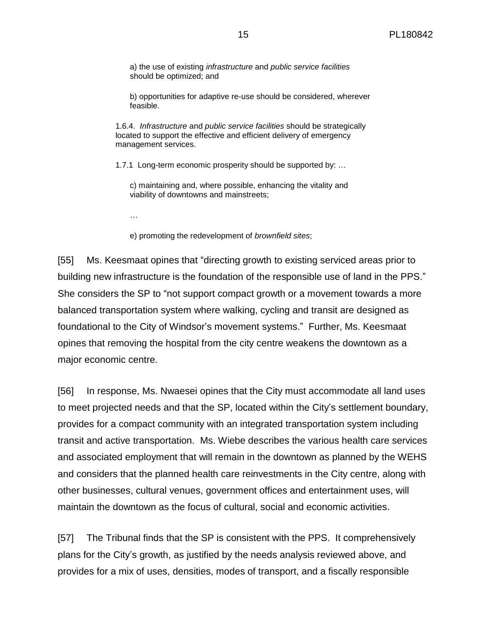a) the use of existing *infrastructure* and *public service facilities* should be optimized; and

b) opportunities for adaptive re-use should be considered, wherever feasible.

1.6.4. *Infrastructure* and *public service facilities* should be strategically located to support the effective and efficient delivery of emergency management services.

1.7.1 Long-term economic prosperity should be supported by: …

c) maintaining and, where possible, enhancing the vitality and viability of downtowns and mainstreets;

…

e) promoting the redevelopment of *brownfield sites*;

[55] Ms. Keesmaat opines that "directing growth to existing serviced areas prior to building new infrastructure is the foundation of the responsible use of land in the PPS." She considers the SP to "not support compact growth or a movement towards a more balanced transportation system where walking, cycling and transit are designed as foundational to the City of Windsor's movement systems." Further, Ms. Keesmaat opines that removing the hospital from the city centre weakens the downtown as a major economic centre.

[56] In response, Ms. Nwaesei opines that the City must accommodate all land uses to meet projected needs and that the SP, located within the City's settlement boundary, provides for a compact community with an integrated transportation system including transit and active transportation. Ms. Wiebe describes the various health care services and associated employment that will remain in the downtown as planned by the WEHS and considers that the planned health care reinvestments in the City centre, along with other businesses, cultural venues, government offices and entertainment uses, will maintain the downtown as the focus of cultural, social and economic activities.

[57] The Tribunal finds that the SP is consistent with the PPS. It comprehensively plans for the City's growth, as justified by the needs analysis reviewed above, and provides for a mix of uses, densities, modes of transport, and a fiscally responsible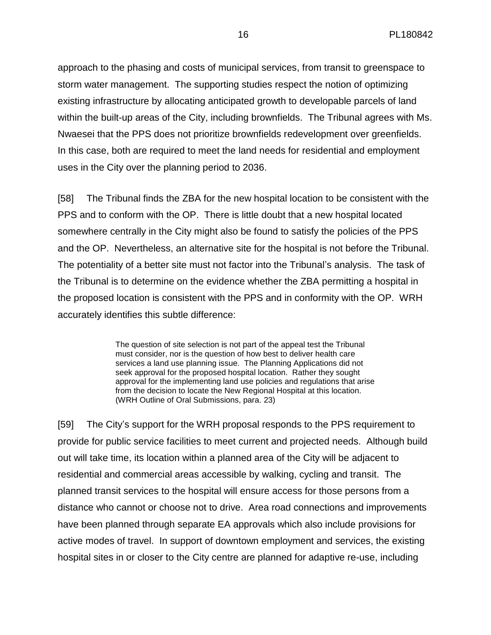approach to the phasing and costs of municipal services, from transit to greenspace to storm water management. The supporting studies respect the notion of optimizing existing infrastructure by allocating anticipated growth to developable parcels of land within the built-up areas of the City, including brownfields. The Tribunal agrees with Ms. Nwaesei that the PPS does not prioritize brownfields redevelopment over greenfields. In this case, both are required to meet the land needs for residential and employment uses in the City over the planning period to 2036.

[58] The Tribunal finds the ZBA for the new hospital location to be consistent with the PPS and to conform with the OP. There is little doubt that a new hospital located somewhere centrally in the City might also be found to satisfy the policies of the PPS and the OP. Nevertheless, an alternative site for the hospital is not before the Tribunal. The potentiality of a better site must not factor into the Tribunal's analysis. The task of the Tribunal is to determine on the evidence whether the ZBA permitting a hospital in the proposed location is consistent with the PPS and in conformity with the OP. WRH accurately identifies this subtle difference:

> The question of site selection is not part of the appeal test the Tribunal must consider, nor is the question of how best to deliver health care services a land use planning issue. The Planning Applications did not seek approval for the proposed hospital location. Rather they sought approval for the implementing land use policies and regulations that arise from the decision to locate the New Regional Hospital at this location. (WRH Outline of Oral Submissions, para. 23)

[59] The City's support for the WRH proposal responds to the PPS requirement to provide for public service facilities to meet current and projected needs. Although build out will take time, its location within a planned area of the City will be adjacent to residential and commercial areas accessible by walking, cycling and transit. The planned transit services to the hospital will ensure access for those persons from a distance who cannot or choose not to drive. Area road connections and improvements have been planned through separate EA approvals which also include provisions for active modes of travel. In support of downtown employment and services, the existing hospital sites in or closer to the City centre are planned for adaptive re-use, including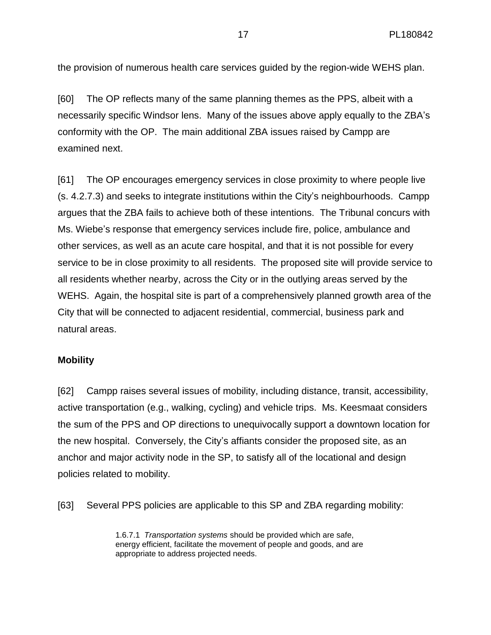the provision of numerous health care services guided by the region-wide WEHS plan.

[60] The OP reflects many of the same planning themes as the PPS, albeit with a necessarily specific Windsor lens. Many of the issues above apply equally to the ZBA's conformity with the OP. The main additional ZBA issues raised by Campp are examined next.

[61] The OP encourages emergency services in close proximity to where people live (s. 4.2.7.3) and seeks to integrate institutions within the City's neighbourhoods. Campp argues that the ZBA fails to achieve both of these intentions. The Tribunal concurs with Ms. Wiebe's response that emergency services include fire, police, ambulance and other services, as well as an acute care hospital, and that it is not possible for every service to be in close proximity to all residents. The proposed site will provide service to all residents whether nearby, across the City or in the outlying areas served by the WEHS. Again, the hospital site is part of a comprehensively planned growth area of the City that will be connected to adjacent residential, commercial, business park and natural areas.

#### **Mobility**

[62] Campp raises several issues of mobility, including distance, transit, accessibility, active transportation (e.g., walking, cycling) and vehicle trips. Ms. Keesmaat considers the sum of the PPS and OP directions to unequivocally support a downtown location for the new hospital. Conversely, the City's affiants consider the proposed site, as an anchor and major activity node in the SP, to satisfy all of the locational and design policies related to mobility.

[63] Several PPS policies are applicable to this SP and ZBA regarding mobility:

1.6.7.1 *Transportation systems* should be provided which are safe, energy efficient, facilitate the movement of people and goods, and are appropriate to address projected needs.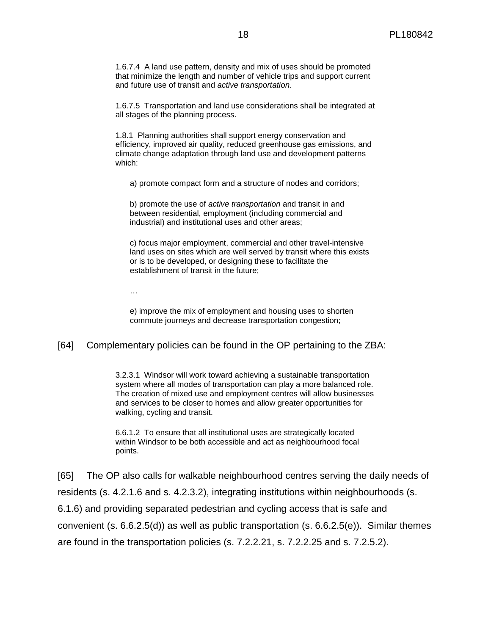1.6.7.4 A land use pattern, density and mix of uses should be promoted that minimize the length and number of vehicle trips and support current and future use of transit and *active transportation*.

1.6.7.5 Transportation and land use considerations shall be integrated at all stages of the planning process.

1.8.1 Planning authorities shall support energy conservation and efficiency, improved air quality, reduced greenhouse gas emissions, and climate change adaptation through land use and development patterns which:

a) promote compact form and a structure of nodes and corridors;

b) promote the use of *active transportation* and transit in and between residential, employment (including commercial and industrial) and institutional uses and other areas;

c) focus major employment, commercial and other travel-intensive land uses on sites which are well served by transit where this exists or is to be developed, or designing these to facilitate the establishment of transit in the future;

…

e) improve the mix of employment and housing uses to shorten commute journeys and decrease transportation congestion;

#### [64] Complementary policies can be found in the OP pertaining to the ZBA:

3.2.3.1 Windsor will work toward achieving a sustainable transportation system where all modes of transportation can play a more balanced role. The creation of mixed use and employment centres will allow businesses and services to be closer to homes and allow greater opportunities for walking, cycling and transit.

6.6.1.2 To ensure that all institutional uses are strategically located within Windsor to be both accessible and act as neighbourhood focal points.

[65] The OP also calls for walkable neighbourhood centres serving the daily needs of residents (s. 4.2.1.6 and s. 4.2.3.2), integrating institutions within neighbourhoods (s. 6.1.6) and providing separated pedestrian and cycling access that is safe and convenient (s. 6.6.2.5(d)) as well as public transportation (s. 6.6.2.5(e)). Similar themes are found in the transportation policies (s. 7.2.2.21, s. 7.2.2.25 and s. 7.2.5.2).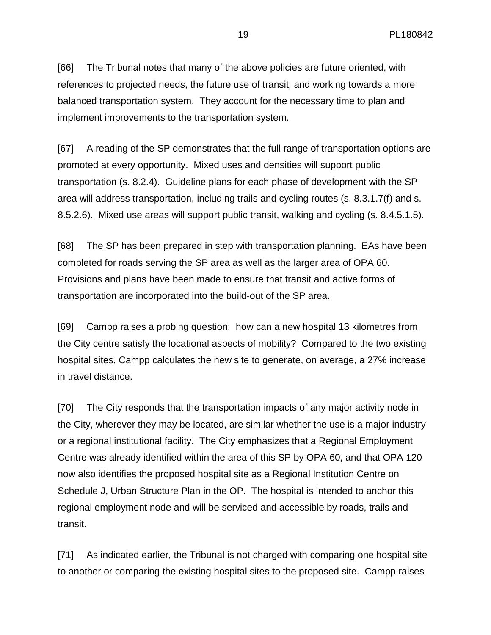[66] The Tribunal notes that many of the above policies are future oriented, with references to projected needs, the future use of transit, and working towards a more balanced transportation system. They account for the necessary time to plan and implement improvements to the transportation system.

[67] A reading of the SP demonstrates that the full range of transportation options are promoted at every opportunity. Mixed uses and densities will support public transportation (s. 8.2.4). Guideline plans for each phase of development with the SP area will address transportation, including trails and cycling routes (s. 8.3.1.7(f) and s. 8.5.2.6). Mixed use areas will support public transit, walking and cycling (s. 8.4.5.1.5).

[68] The SP has been prepared in step with transportation planning. EAs have been completed for roads serving the SP area as well as the larger area of OPA 60. Provisions and plans have been made to ensure that transit and active forms of transportation are incorporated into the build-out of the SP area.

[69] Campp raises a probing question: how can a new hospital 13 kilometres from the City centre satisfy the locational aspects of mobility? Compared to the two existing hospital sites, Campp calculates the new site to generate, on average, a 27% increase in travel distance.

[70] The City responds that the transportation impacts of any major activity node in the City, wherever they may be located, are similar whether the use is a major industry or a regional institutional facility. The City emphasizes that a Regional Employment Centre was already identified within the area of this SP by OPA 60, and that OPA 120 now also identifies the proposed hospital site as a Regional Institution Centre on Schedule J, Urban Structure Plan in the OP. The hospital is intended to anchor this regional employment node and will be serviced and accessible by roads, trails and transit.

[71] As indicated earlier, the Tribunal is not charged with comparing one hospital site to another or comparing the existing hospital sites to the proposed site. Campp raises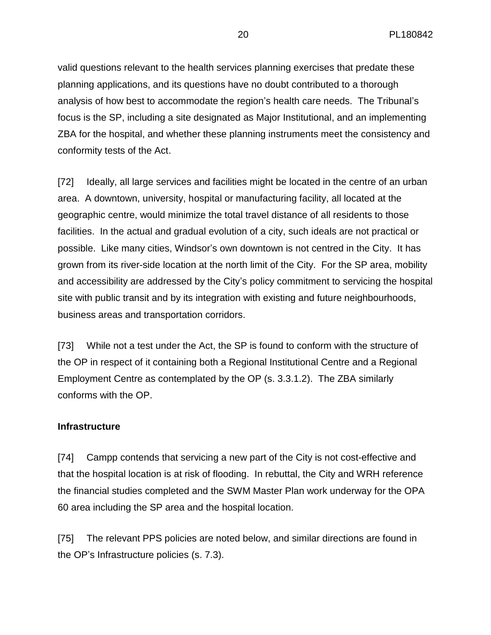valid questions relevant to the health services planning exercises that predate these planning applications, and its questions have no doubt contributed to a thorough analysis of how best to accommodate the region's health care needs. The Tribunal's focus is the SP, including a site designated as Major Institutional, and an implementing ZBA for the hospital, and whether these planning instruments meet the consistency and conformity tests of the Act.

[72] Ideally, all large services and facilities might be located in the centre of an urban area. A downtown, university, hospital or manufacturing facility, all located at the geographic centre, would minimize the total travel distance of all residents to those facilities. In the actual and gradual evolution of a city, such ideals are not practical or possible. Like many cities, Windsor's own downtown is not centred in the City. It has grown from its river-side location at the north limit of the City. For the SP area, mobility and accessibility are addressed by the City's policy commitment to servicing the hospital site with public transit and by its integration with existing and future neighbourhoods, business areas and transportation corridors.

[73] While not a test under the Act, the SP is found to conform with the structure of the OP in respect of it containing both a Regional Institutional Centre and a Regional Employment Centre as contemplated by the OP (s. 3.3.1.2). The ZBA similarly conforms with the OP.

## **Infrastructure**

[74] Campp contends that servicing a new part of the City is not cost-effective and that the hospital location is at risk of flooding. In rebuttal, the City and WRH reference the financial studies completed and the SWM Master Plan work underway for the OPA 60 area including the SP area and the hospital location.

[75] The relevant PPS policies are noted below, and similar directions are found in the OP's Infrastructure policies (s. 7.3).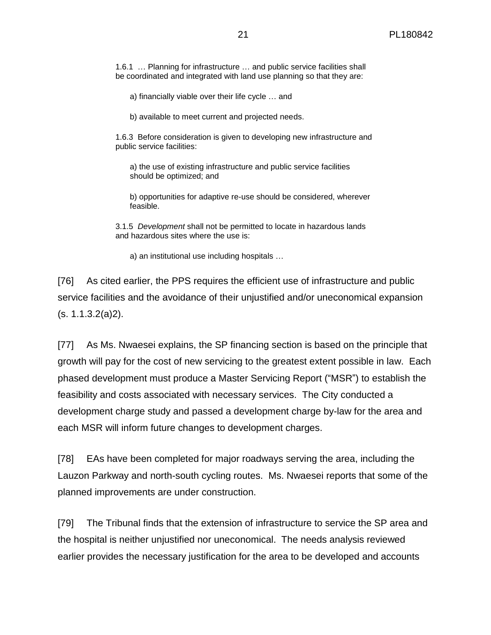1.6.1 … Planning for infrastructure … and public service facilities shall be coordinated and integrated with land use planning so that they are:

a) financially viable over their life cycle … and

b) available to meet current and projected needs.

1.6.3 Before consideration is given to developing new infrastructure and public service facilities:

a) the use of existing infrastructure and public service facilities should be optimized; and

b) opportunities for adaptive re-use should be considered, wherever feasible.

3.1.5 *Development* shall not be permitted to locate in hazardous lands and hazardous sites where the use is:

a) an institutional use including hospitals …

[76] As cited earlier, the PPS requires the efficient use of infrastructure and public service facilities and the avoidance of their unjustified and/or uneconomical expansion (s. 1.1.3.2(a)2).

[77] As Ms. Nwaesei explains, the SP financing section is based on the principle that growth will pay for the cost of new servicing to the greatest extent possible in law. Each phased development must produce a Master Servicing Report ("MSR") to establish the feasibility and costs associated with necessary services. The City conducted a development charge study and passed a development charge by-law for the area and each MSR will inform future changes to development charges.

[78] EAs have been completed for major roadways serving the area, including the Lauzon Parkway and north-south cycling routes. Ms. Nwaesei reports that some of the planned improvements are under construction.

[79] The Tribunal finds that the extension of infrastructure to service the SP area and the hospital is neither unjustified nor uneconomical. The needs analysis reviewed earlier provides the necessary justification for the area to be developed and accounts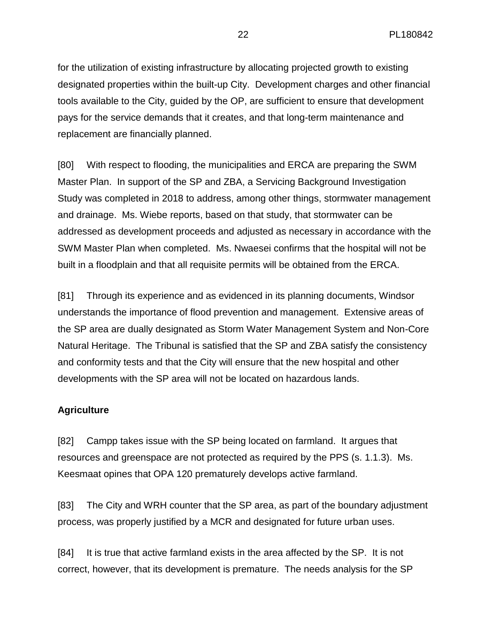for the utilization of existing infrastructure by allocating projected growth to existing designated properties within the built-up City. Development charges and other financial tools available to the City, guided by the OP, are sufficient to ensure that development pays for the service demands that it creates, and that long-term maintenance and replacement are financially planned.

[80] With respect to flooding, the municipalities and ERCA are preparing the SWM Master Plan. In support of the SP and ZBA, a Servicing Background Investigation Study was completed in 2018 to address, among other things, stormwater management and drainage. Ms. Wiebe reports, based on that study, that stormwater can be addressed as development proceeds and adjusted as necessary in accordance with the SWM Master Plan when completed. Ms. Nwaesei confirms that the hospital will not be built in a floodplain and that all requisite permits will be obtained from the ERCA.

[81] Through its experience and as evidenced in its planning documents, Windsor understands the importance of flood prevention and management. Extensive areas of the SP area are dually designated as Storm Water Management System and Non-Core Natural Heritage. The Tribunal is satisfied that the SP and ZBA satisfy the consistency and conformity tests and that the City will ensure that the new hospital and other developments with the SP area will not be located on hazardous lands.

## **Agriculture**

[82] Campp takes issue with the SP being located on farmland. It argues that resources and greenspace are not protected as required by the PPS (s. 1.1.3). Ms. Keesmaat opines that OPA 120 prematurely develops active farmland.

[83] The City and WRH counter that the SP area, as part of the boundary adjustment process, was properly justified by a MCR and designated for future urban uses.

[84] It is true that active farmland exists in the area affected by the SP. It is not correct, however, that its development is premature. The needs analysis for the SP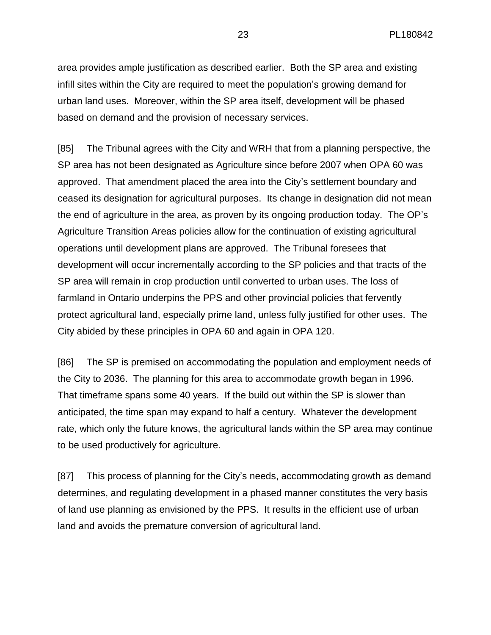area provides ample justification as described earlier. Both the SP area and existing infill sites within the City are required to meet the population's growing demand for urban land uses. Moreover, within the SP area itself, development will be phased based on demand and the provision of necessary services.

[85] The Tribunal agrees with the City and WRH that from a planning perspective, the SP area has not been designated as Agriculture since before 2007 when OPA 60 was approved. That amendment placed the area into the City's settlement boundary and ceased its designation for agricultural purposes. Its change in designation did not mean the end of agriculture in the area, as proven by its ongoing production today. The OP's Agriculture Transition Areas policies allow for the continuation of existing agricultural operations until development plans are approved. The Tribunal foresees that development will occur incrementally according to the SP policies and that tracts of the SP area will remain in crop production until converted to urban uses. The loss of farmland in Ontario underpins the PPS and other provincial policies that fervently protect agricultural land, especially prime land, unless fully justified for other uses. The City abided by these principles in OPA 60 and again in OPA 120.

[86] The SP is premised on accommodating the population and employment needs of the City to 2036. The planning for this area to accommodate growth began in 1996. That timeframe spans some 40 years. If the build out within the SP is slower than anticipated, the time span may expand to half a century. Whatever the development rate, which only the future knows, the agricultural lands within the SP area may continue to be used productively for agriculture.

[87] This process of planning for the City's needs, accommodating growth as demand determines, and regulating development in a phased manner constitutes the very basis of land use planning as envisioned by the PPS. It results in the efficient use of urban land and avoids the premature conversion of agricultural land.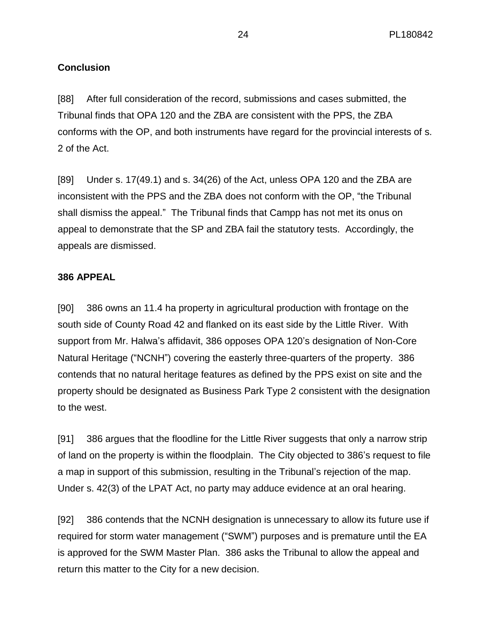# **Conclusion**

[88] After full consideration of the record, submissions and cases submitted, the Tribunal finds that OPA 120 and the ZBA are consistent with the PPS, the ZBA conforms with the OP, and both instruments have regard for the provincial interests of s. 2 of the Act.

[89] Under s. 17(49.1) and s. 34(26) of the Act, unless OPA 120 and the ZBA are inconsistent with the PPS and the ZBA does not conform with the OP, "the Tribunal shall dismiss the appeal." The Tribunal finds that Campp has not met its onus on appeal to demonstrate that the SP and ZBA fail the statutory tests. Accordingly, the appeals are dismissed.

#### **386 APPEAL**

[90] 386 owns an 11.4 ha property in agricultural production with frontage on the south side of County Road 42 and flanked on its east side by the Little River. With support from Mr. Halwa's affidavit, 386 opposes OPA 120's designation of Non-Core Natural Heritage ("NCNH") covering the easterly three-quarters of the property. 386 contends that no natural heritage features as defined by the PPS exist on site and the property should be designated as Business Park Type 2 consistent with the designation to the west.

[91] 386 argues that the floodline for the Little River suggests that only a narrow strip of land on the property is within the floodplain. The City objected to 386's request to file a map in support of this submission, resulting in the Tribunal's rejection of the map. Under s. 42(3) of the LPAT Act, no party may adduce evidence at an oral hearing.

[92] 386 contends that the NCNH designation is unnecessary to allow its future use if required for storm water management ("SWM") purposes and is premature until the EA is approved for the SWM Master Plan. 386 asks the Tribunal to allow the appeal and return this matter to the City for a new decision.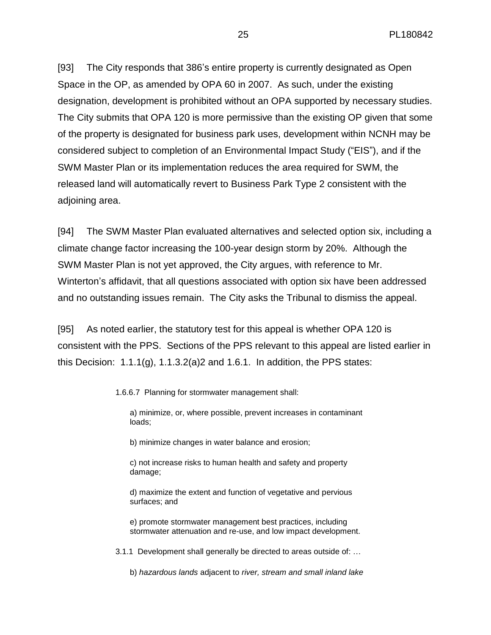[93] The City responds that 386's entire property is currently designated as Open Space in the OP, as amended by OPA 60 in 2007. As such, under the existing designation, development is prohibited without an OPA supported by necessary studies. The City submits that OPA 120 is more permissive than the existing OP given that some of the property is designated for business park uses, development within NCNH may be considered subject to completion of an Environmental Impact Study ("EIS"), and if the SWM Master Plan or its implementation reduces the area required for SWM, the released land will automatically revert to Business Park Type 2 consistent with the adjoining area.

[94] The SWM Master Plan evaluated alternatives and selected option six, including a climate change factor increasing the 100-year design storm by 20%. Although the SWM Master Plan is not yet approved, the City argues, with reference to Mr. Winterton's affidavit, that all questions associated with option six have been addressed and no outstanding issues remain. The City asks the Tribunal to dismiss the appeal.

[95] As noted earlier, the statutory test for this appeal is whether OPA 120 is consistent with the PPS. Sections of the PPS relevant to this appeal are listed earlier in this Decision:  $1.1.1(g)$ ,  $1.1.3.2(g)$  and  $1.6.1$ . In addition, the PPS states:

1.6.6.7 Planning for stormwater management shall:

a) minimize, or, where possible, prevent increases in contaminant loads;

b) minimize changes in water balance and erosion;

c) not increase risks to human health and safety and property damage;

d) maximize the extent and function of vegetative and pervious surfaces; and

e) promote stormwater management best practices, including stormwater attenuation and re-use, and low impact development.

3.1.1 Development shall generally be directed to areas outside of: …

b) *hazardous lands* adjacent to *river, stream and small inland lake*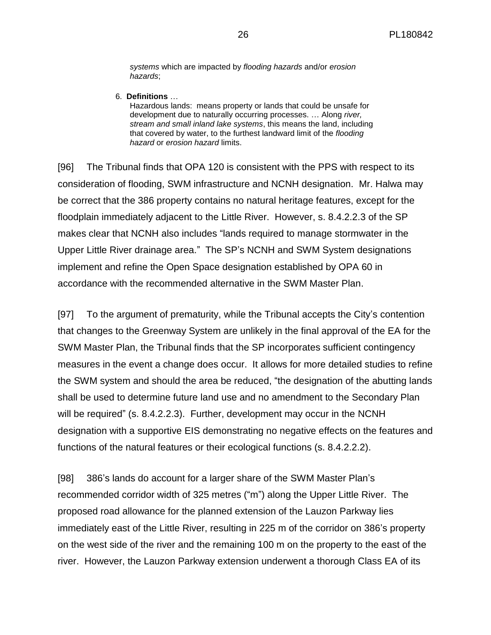*systems* which are impacted by *flooding hazards* and/or *erosion hazards*;

6. **Definitions** …

Hazardous lands: means property or lands that could be unsafe for development due to naturally occurring processes. … Along *river, stream and small inland lake systems*, this means the land, including that covered by water, to the furthest landward limit of the *flooding hazard* or *erosion hazard* limits.

[96] The Tribunal finds that OPA 120 is consistent with the PPS with respect to its consideration of flooding, SWM infrastructure and NCNH designation. Mr. Halwa may be correct that the 386 property contains no natural heritage features, except for the floodplain immediately adjacent to the Little River. However, s. 8.4.2.2.3 of the SP makes clear that NCNH also includes "lands required to manage stormwater in the Upper Little River drainage area." The SP's NCNH and SWM System designations implement and refine the Open Space designation established by OPA 60 in accordance with the recommended alternative in the SWM Master Plan.

[97] To the argument of prematurity, while the Tribunal accepts the City's contention that changes to the Greenway System are unlikely in the final approval of the EA for the SWM Master Plan, the Tribunal finds that the SP incorporates sufficient contingency measures in the event a change does occur. It allows for more detailed studies to refine the SWM system and should the area be reduced, "the designation of the abutting lands shall be used to determine future land use and no amendment to the Secondary Plan will be required" (s. 8.4.2.2.3). Further, development may occur in the NCNH designation with a supportive EIS demonstrating no negative effects on the features and functions of the natural features or their ecological functions (s. 8.4.2.2.2).

[98] 386's lands do account for a larger share of the SWM Master Plan's recommended corridor width of 325 metres ("m") along the Upper Little River. The proposed road allowance for the planned extension of the Lauzon Parkway lies immediately east of the Little River, resulting in 225 m of the corridor on 386's property on the west side of the river and the remaining 100 m on the property to the east of the river. However, the Lauzon Parkway extension underwent a thorough Class EA of its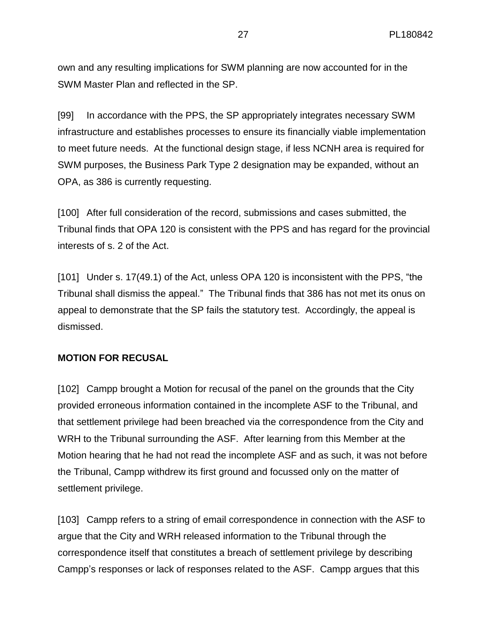own and any resulting implications for SWM planning are now accounted for in the SWM Master Plan and reflected in the SP.

[99] In accordance with the PPS, the SP appropriately integrates necessary SWM infrastructure and establishes processes to ensure its financially viable implementation to meet future needs. At the functional design stage, if less NCNH area is required for SWM purposes, the Business Park Type 2 designation may be expanded, without an OPA, as 386 is currently requesting.

[100] After full consideration of the record, submissions and cases submitted, the Tribunal finds that OPA 120 is consistent with the PPS and has regard for the provincial interests of s. 2 of the Act.

[101] Under s. 17(49.1) of the Act, unless OPA 120 is inconsistent with the PPS, "the Tribunal shall dismiss the appeal." The Tribunal finds that 386 has not met its onus on appeal to demonstrate that the SP fails the statutory test. Accordingly, the appeal is dismissed.

## **MOTION FOR RECUSAL**

[102] Campp brought a Motion for recusal of the panel on the grounds that the City provided erroneous information contained in the incomplete ASF to the Tribunal, and that settlement privilege had been breached via the correspondence from the City and WRH to the Tribunal surrounding the ASF. After learning from this Member at the Motion hearing that he had not read the incomplete ASF and as such, it was not before the Tribunal, Campp withdrew its first ground and focussed only on the matter of settlement privilege.

[103] Campp refers to a string of email correspondence in connection with the ASF to argue that the City and WRH released information to the Tribunal through the correspondence itself that constitutes a breach of settlement privilege by describing Campp's responses or lack of responses related to the ASF. Campp argues that this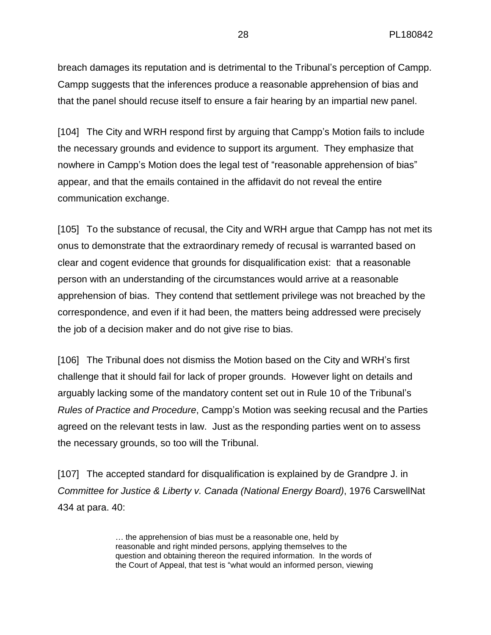breach damages its reputation and is detrimental to the Tribunal's perception of Campp. Campp suggests that the inferences produce a reasonable apprehension of bias and that the panel should recuse itself to ensure a fair hearing by an impartial new panel.

[104] The City and WRH respond first by arguing that Campp's Motion fails to include the necessary grounds and evidence to support its argument. They emphasize that nowhere in Campp's Motion does the legal test of "reasonable apprehension of bias" appear, and that the emails contained in the affidavit do not reveal the entire communication exchange.

[105] To the substance of recusal, the City and WRH argue that Campp has not met its onus to demonstrate that the extraordinary remedy of recusal is warranted based on clear and cogent evidence that grounds for disqualification exist: that a reasonable person with an understanding of the circumstances would arrive at a reasonable apprehension of bias. They contend that settlement privilege was not breached by the correspondence, and even if it had been, the matters being addressed were precisely the job of a decision maker and do not give rise to bias.

[106] The Tribunal does not dismiss the Motion based on the City and WRH's first challenge that it should fail for lack of proper grounds. However light on details and arguably lacking some of the mandatory content set out in Rule 10 of the Tribunal's *Rules of Practice and Procedure*, Campp's Motion was seeking recusal and the Parties agreed on the relevant tests in law. Just as the responding parties went on to assess the necessary grounds, so too will the Tribunal.

[107] The accepted standard for disqualification is explained by de Grandpre J. in *Committee for Justice & Liberty v. Canada (National Energy Board)*, 1976 CarswellNat 434 at para. 40:

> … the apprehension of bias must be a reasonable one, held by reasonable and right minded persons, applying themselves to the question and obtaining thereon the required information. In the words of the Court of Appeal, that test is "what would an informed person, viewing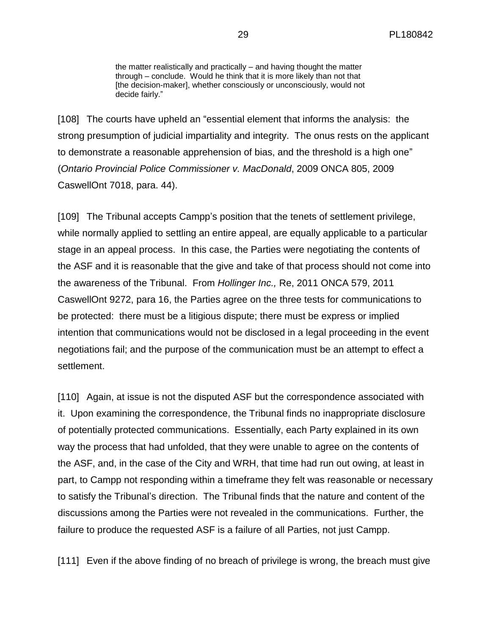the matter realistically and practically – and having thought the matter through – conclude. Would he think that it is more likely than not that [the decision-maker], whether consciously or unconsciously, would not decide fairly."

[108] The courts have upheld an "essential element that informs the analysis: the strong presumption of judicial impartiality and integrity. The onus rests on the applicant to demonstrate a reasonable apprehension of bias, and the threshold is a high one" (*Ontario Provincial Police Commissioner v. MacDonald*, 2009 ONCA 805, 2009 CaswellOnt 7018, para. 44).

[109] The Tribunal accepts Campp's position that the tenets of settlement privilege, while normally applied to settling an entire appeal, are equally applicable to a particular stage in an appeal process. In this case, the Parties were negotiating the contents of the ASF and it is reasonable that the give and take of that process should not come into the awareness of the Tribunal. From *Hollinger Inc.,* Re, 2011 ONCA 579, 2011 CaswellOnt 9272, para 16, the Parties agree on the three tests for communications to be protected: there must be a litigious dispute; there must be express or implied intention that communications would not be disclosed in a legal proceeding in the event negotiations fail; and the purpose of the communication must be an attempt to effect a settlement.

[110] Again, at issue is not the disputed ASF but the correspondence associated with it. Upon examining the correspondence, the Tribunal finds no inappropriate disclosure of potentially protected communications. Essentially, each Party explained in its own way the process that had unfolded, that they were unable to agree on the contents of the ASF, and, in the case of the City and WRH, that time had run out owing, at least in part, to Campp not responding within a timeframe they felt was reasonable or necessary to satisfy the Tribunal's direction. The Tribunal finds that the nature and content of the discussions among the Parties were not revealed in the communications. Further, the failure to produce the requested ASF is a failure of all Parties, not just Campp.

[111] Even if the above finding of no breach of privilege is wrong, the breach must give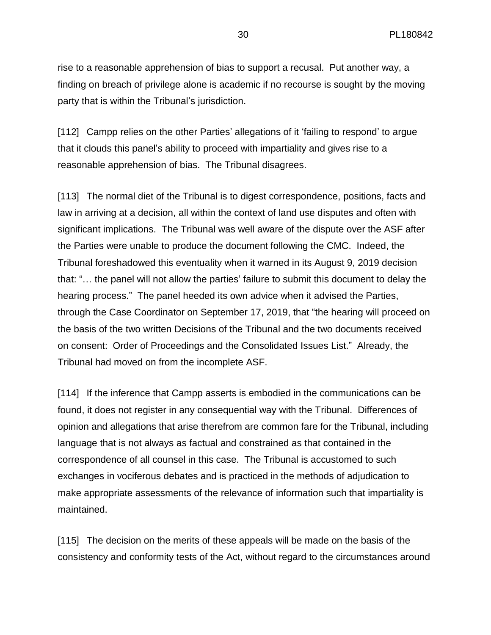rise to a reasonable apprehension of bias to support a recusal. Put another way, a finding on breach of privilege alone is academic if no recourse is sought by the moving party that is within the Tribunal's jurisdiction.

[112] Campp relies on the other Parties' allegations of it 'failing to respond' to argue that it clouds this panel's ability to proceed with impartiality and gives rise to a reasonable apprehension of bias. The Tribunal disagrees.

[113] The normal diet of the Tribunal is to digest correspondence, positions, facts and law in arriving at a decision, all within the context of land use disputes and often with significant implications. The Tribunal was well aware of the dispute over the ASF after the Parties were unable to produce the document following the CMC. Indeed, the Tribunal foreshadowed this eventuality when it warned in its August 9, 2019 decision that: "… the panel will not allow the parties' failure to submit this document to delay the hearing process." The panel heeded its own advice when it advised the Parties, through the Case Coordinator on September 17, 2019, that "the hearing will proceed on the basis of the two written Decisions of the Tribunal and the two documents received on consent: Order of Proceedings and the Consolidated Issues List." Already, the Tribunal had moved on from the incomplete ASF.

[114] If the inference that Campp asserts is embodied in the communications can be found, it does not register in any consequential way with the Tribunal. Differences of opinion and allegations that arise therefrom are common fare for the Tribunal, including language that is not always as factual and constrained as that contained in the correspondence of all counsel in this case. The Tribunal is accustomed to such exchanges in vociferous debates and is practiced in the methods of adjudication to make appropriate assessments of the relevance of information such that impartiality is maintained.

[115] The decision on the merits of these appeals will be made on the basis of the consistency and conformity tests of the Act, without regard to the circumstances around